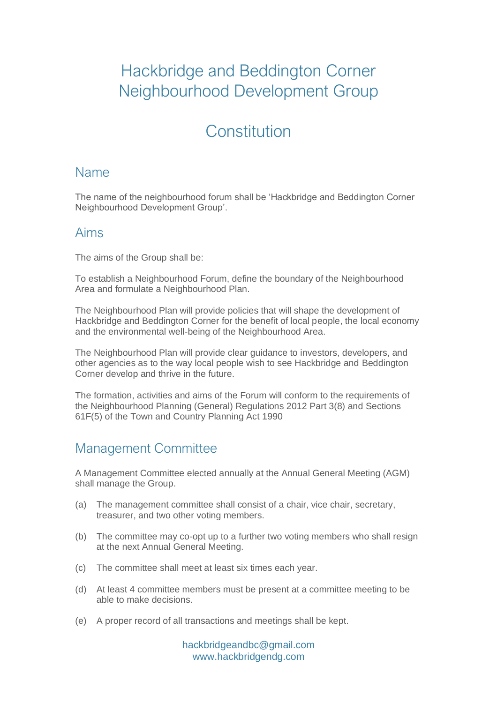# Hackbridge and Beddington Corner Neighbourhood Development Group

# **Constitution**

### Name

The name of the neighbourhood forum shall be 'Hackbridge and Beddington Corner Neighbourhood Development Group'.

#### Aims

The aims of the Group shall be:

To establish a Neighbourhood Forum, define the boundary of the Neighbourhood Area and formulate a Neighbourhood Plan.

The Neighbourhood Plan will provide policies that will shape the development of Hackbridge and Beddington Corner for the benefit of local people, the local economy and the environmental well-being of the Neighbourhood Area.

The Neighbourhood Plan will provide clear guidance to investors, developers, and other agencies as to the way local people wish to see Hackbridge and Beddington Corner develop and thrive in the future.

The formation, activities and aims of the Forum will conform to the requirements of the Neighbourhood Planning (General) Regulations 2012 Part 3(8) and Sections 61F(5) of the Town and Country Planning Act 1990

## Management Committee

A Management Committee elected annually at the Annual General Meeting (AGM) shall manage the Group.

- (a) The management committee shall consist of a chair, vice chair, secretary, treasurer, and two other voting members.
- (b) The committee may co-opt up to a further two voting members who shall resign at the next Annual General Meeting.
- (c) The committee shall meet at least six times each year.
- (d) At least 4 committee members must be present at a committee meeting to be able to make decisions.
- (e) A proper record of all transactions and meetings shall be kept.

hackbridgeandbc@gmail.com www.hackbridgendg.com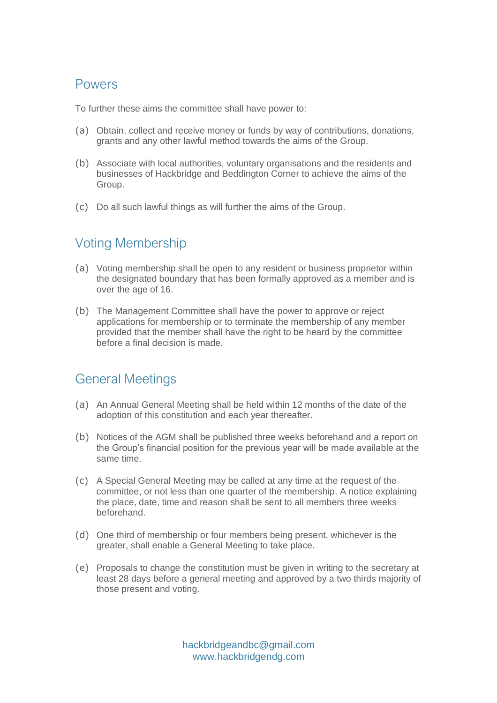#### Powers

To further these aims the committee shall have power to:

- (a) Obtain, collect and receive money or funds by way of contributions, donations, grants and any other lawful method towards the aims of the Group.
- (b) Associate with local authorities, voluntary organisations and the residents and businesses of Hackbridge and Beddington Corner to achieve the aims of the Group.
- (c) Do all such lawful things as will further the aims of the Group.

# Voting Membership

- (a) Voting membership shall be open to any resident or business proprietor within the designated boundary that has been formally approved as a member and is over the age of 16.
- (b) The Management Committee shall have the power to approve or reject applications for membership or to terminate the membership of any member provided that the member shall have the right to be heard by the committee before a final decision is made.

### General Meetings

- (a) An Annual General Meeting shall be held within 12 months of the date of the adoption of this constitution and each year thereafter.
- (b) Notices of the AGM shall be published three weeks beforehand and a report on the Group's financial position for the previous year will be made available at the same time.
- (c) A Special General Meeting may be called at any time at the request of the committee, or not less than one quarter of the membership. A notice explaining the place, date, time and reason shall be sent to all members three weeks beforehand.
- (d) One third of membership or four members being present, whichever is the greater, shall enable a General Meeting to take place.
- (e) Proposals to change the constitution must be given in writing to the secretary at least 28 days before a general meeting and approved by a two thirds majority of those present and voting.

hackbridgeandbc@gmail.com www.hackbridgendg.com